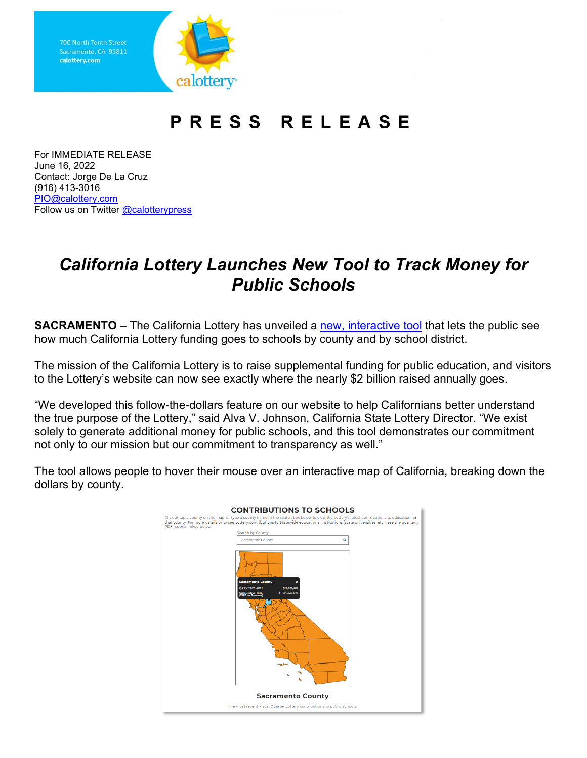Sacramento, CA 95811 calottery.com **calottery·** 

## **PRESS RELEASE**

 For IMMEDIATE RELEASE June 16, 2022 (916) 413-3016 Follow us on Twitter <u>@calotterypress</u> Contact: Jorge De La Cruz [PIO@calottery.com](mailto:PIO@calottery.com) 

## *California Lottery Launches New Tool to Track Money for Public Schools*

**SACRAMENTO** – The California Lottery has unveiled a <u>new, interactive tool</u> that lets the public see how much California Lottery funding goes to schools by county and by school district.

 to the Lottery's website can now see exactly where the nearly \$2 billion raised annually goes. The mission of the California Lottery is to raise supplemental funding for public education, and visitors

"We developed this follow-the-dollars feature on our website to help Californians better understand the true purpose of the Lottery," said Alva V. Johnson, California State Lottery Director. "We exist solely to generate additional money for public schools, and this tool demonstrates our commitment not only to our mission but our commitment to transparency as well."

The tool allows people to hover their mouse over an interactive map of California, breaking down the dollars by county.